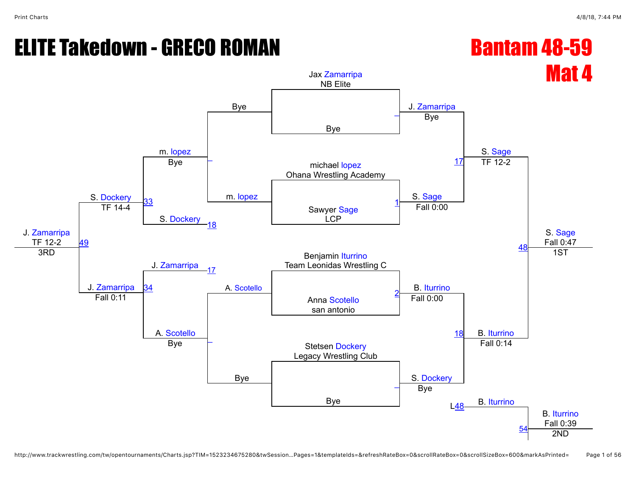# ELITE Takedown - GRECO ROMAN BANTAM BANTAM 48-59



http://www.trackwrestling.com/tw/opentournaments/Charts.jsp?TIM=1523234675280&twSession…Pages=1&templateIds=&refreshRateBox=0&scrollRateBox=0&scrollSizeBox=600&markAsPrinted= Page 1 of 56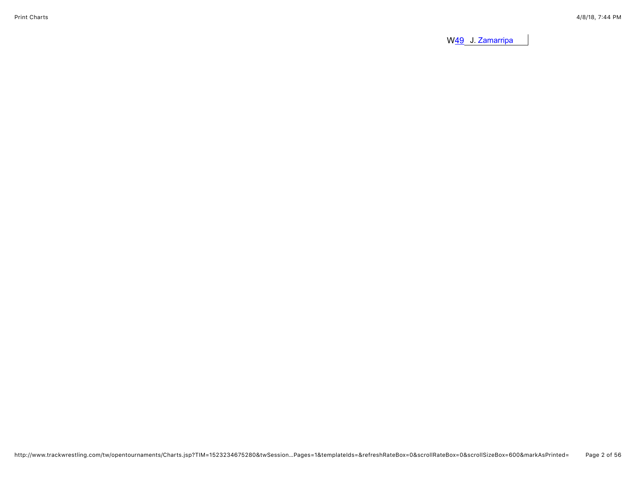W<sub>49</sub> J. [Zamarripa](javascript:viewProfile(955140096))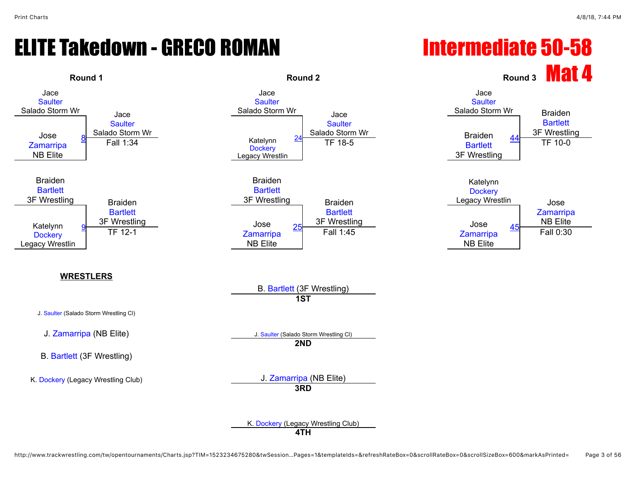#### ELITE Takedown - GRECO ROMAN FILITE TAKEDOWN - GRECO ROMAN

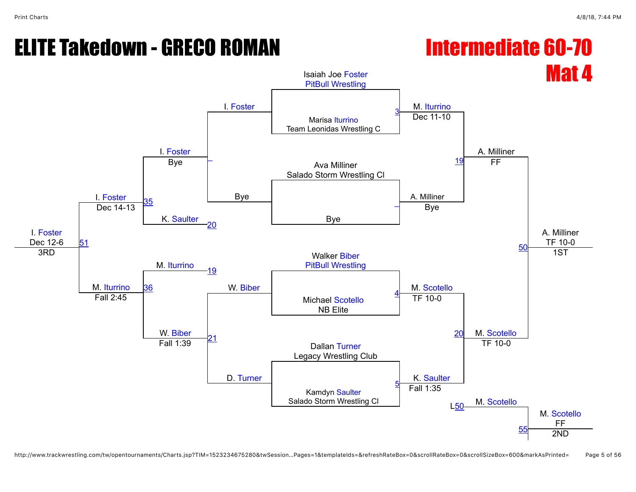# ELITE Takedown - GRECO ROMAN Intermediate 60-70

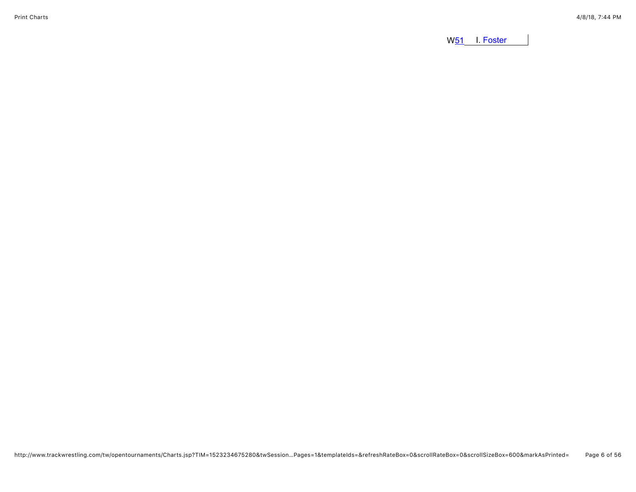W<sub>51</sub> I. [Foster](javascript:viewProfile(1914612096))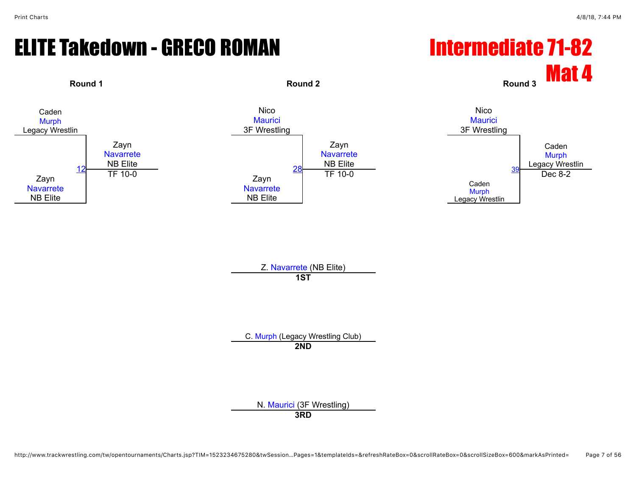#### ELITE Takedown - GRECO ROMAN Intermediate 71-82



Z. [Navarrete](javascript:viewProfile(631678096)) (NB Elite) **1ST**

C. [Murph](javascript:viewProfile(1163891096)) (Legacy Wrestling Club) **2ND**

> N. [Maurici](javascript:viewProfile(644023096)) (3F Wrestling) **3RD**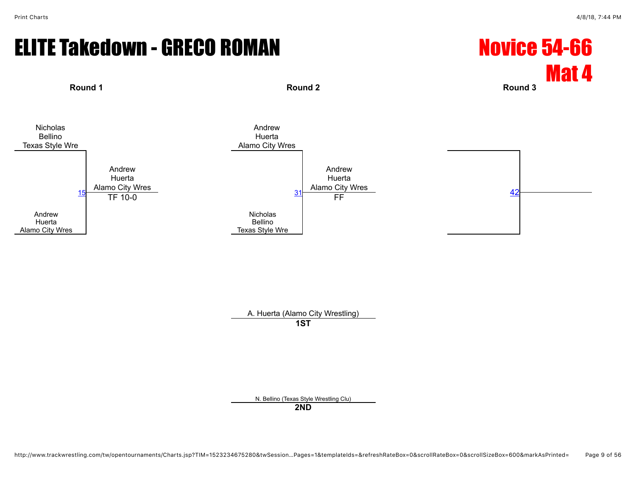## ELITE Takedown - GRECO ROMAN Novice 54-66



**Round 1 Round 2 Round 3**



A. Huerta (Alamo City Wrestling)

**1ST**

N. Bellino (Texas Style Wrestling Clu)

**2ND**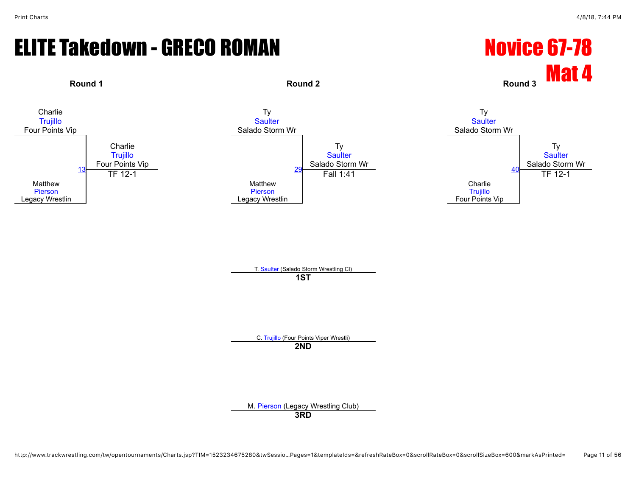# ELITE Takedown - GRECO ROMAN Novice 67-78



T. [Saulter](javascript:viewProfile(1571202009)) (Salado Storm Wrestling Cl) **1ST**

C. [Trujillo](javascript:viewProfile(1008665009)) (Four Points Viper Wrestli) **2ND**

M. [Pierson](javascript:viewProfile(616304132)) (Legacy Wrestling Club)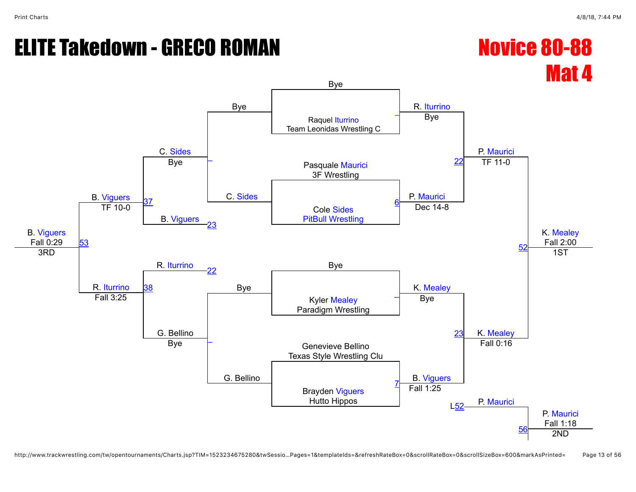# ELITE Takedown - GRECO ROMAN NOVICE 80-88

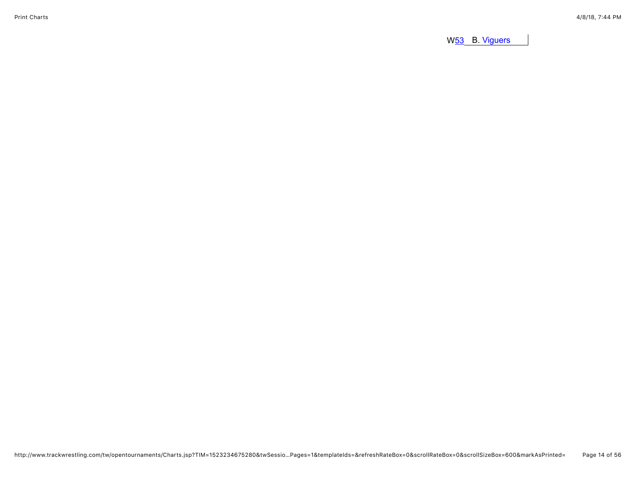W<sub>53</sub> B. [Viguers](javascript:viewProfile(1372583096))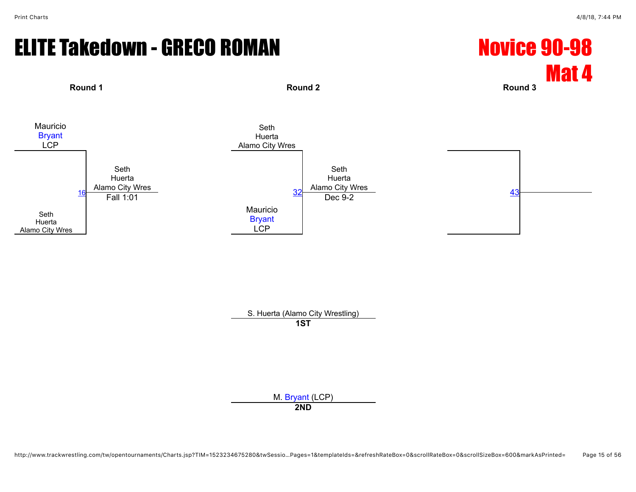# ELITE Takedown - GRECO ROMAN Novice 90-98





S. Huerta (Alamo City Wrestling) **1ST**

M. [Bryant](javascript:viewProfile(1086212096)) (LCP)

**2ND**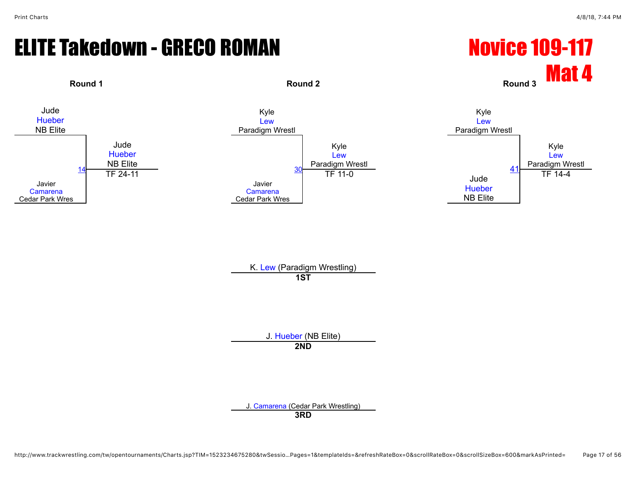# ELITE Takedown - GRECO ROMAN Novice 109-117



K. [Lew](javascript:viewProfile(1531029009)) (Paradigm Wrestling) **1ST**

J. [Hueber](javascript:viewProfile(1591765009)) (NB Elite) **2ND**

J. [Camarena](javascript:viewProfile(1591462009)) (Cedar Park Wrestling)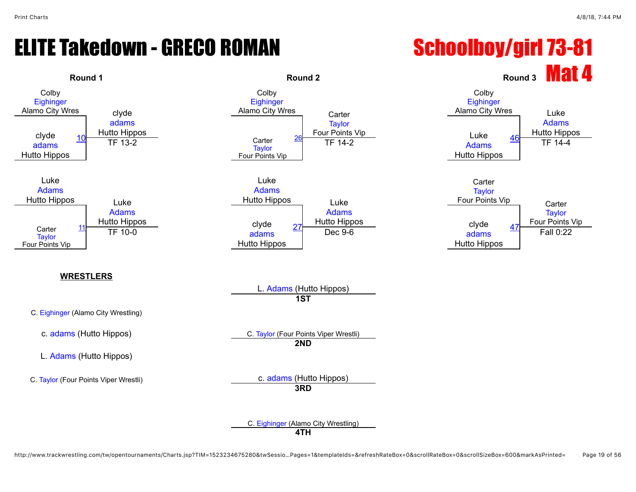# ELITE Takedown - GRECO ROMAN Schoolboy/girl 73-81

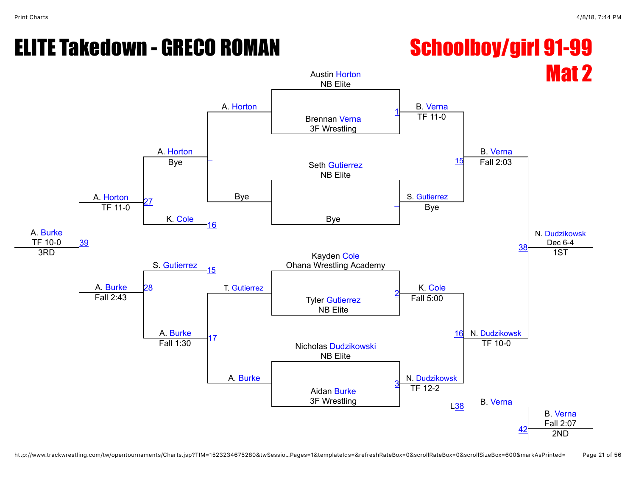# ELITE Takedown - GRECO ROMAN Schoolboy/girl 91-99

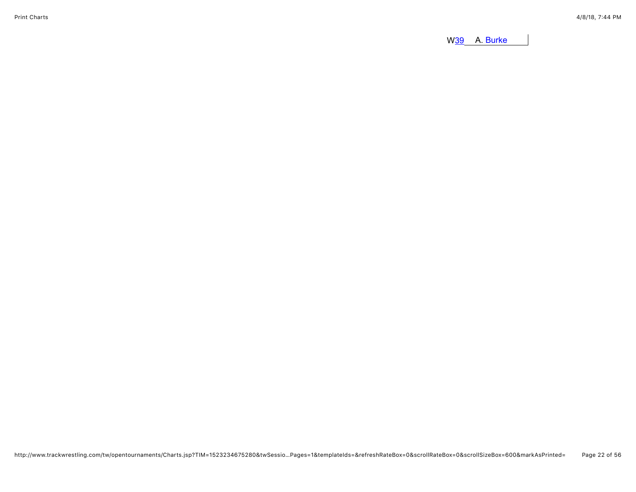W<sub>39</sub> A. [Burke](javascript:viewProfile(1008693009))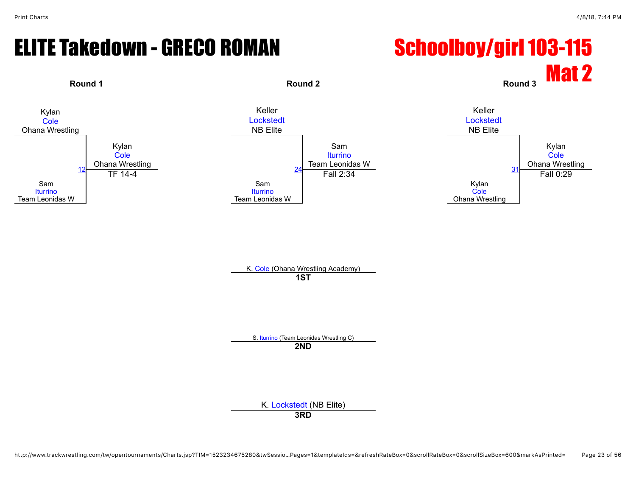## ELITE Takedown - GRECO ROMAN Schoolboy/girl 103-115



K. [Cole](javascript:viewProfile(1008786009)) (Ohana Wrestling Academy) **1ST**

S. [Iturrino](javascript:viewProfile(1165632096)) (Team Leonidas Wrestling C) **2ND**

> K. [Lockstedt](javascript:viewProfile(627762132)) (NB Elite) **3RD**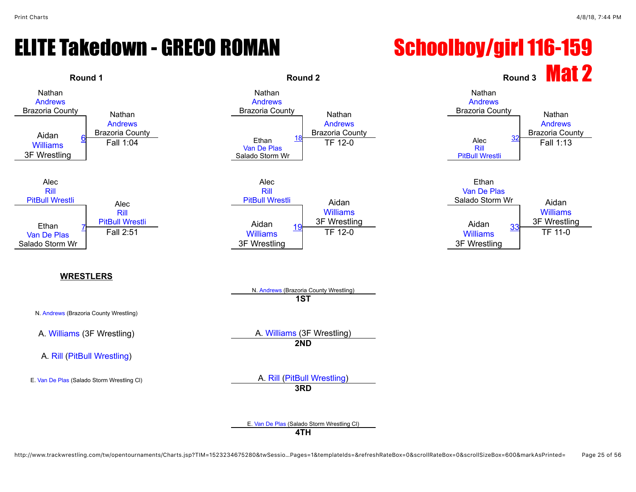# ELITE Takedown - GRECO ROMAN Schoolboy/girl 116-159

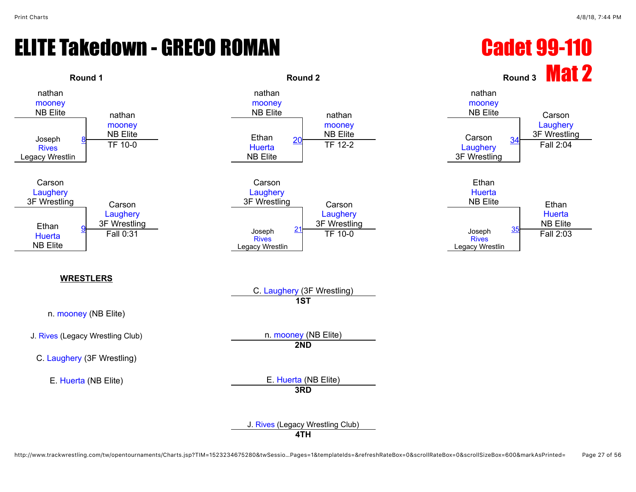# ELITE Takedown - GRECO ROMAN Cadet 99-110

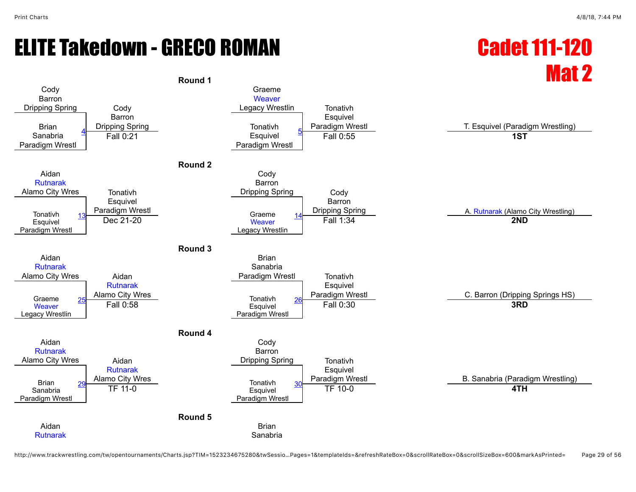# ELITE Takedown - GRECO ROMAN Cadet 111-120



http://www.trackwrestling.com/tw/opentournaments/Charts.jsp?TIM=1523234675280&twSessio…Pages=1&templateIds=&refreshRateBox=0&scrollRateBox=0&scrollSizeBox=600&markAsPrinted= Page 29 of 56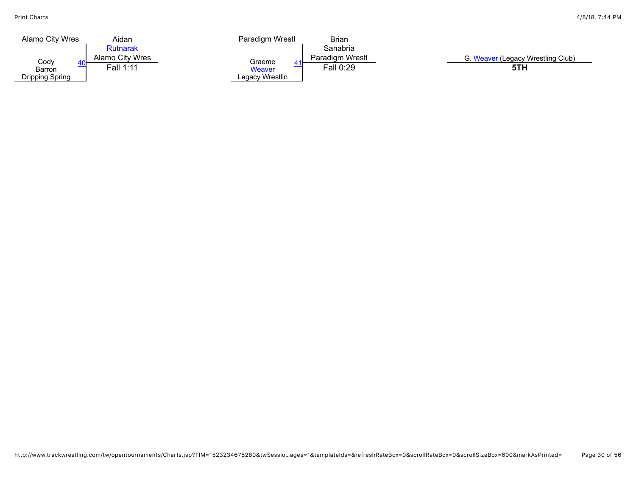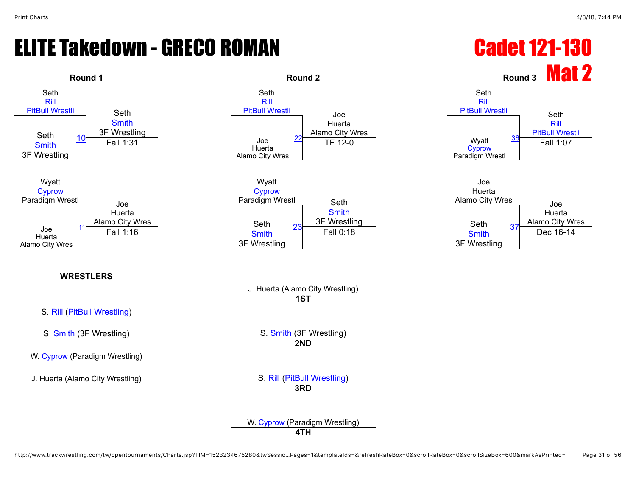# ELITE Takedown - GRECO ROMAN Cadet 121-130

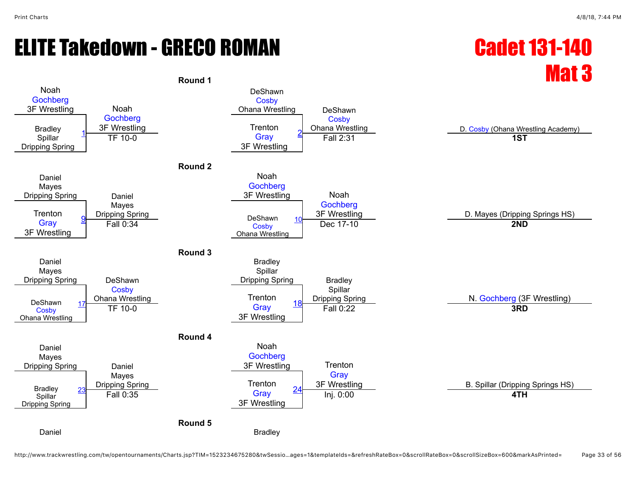# ELITE Takedown - GRECO ROMAN Cadet 131-140

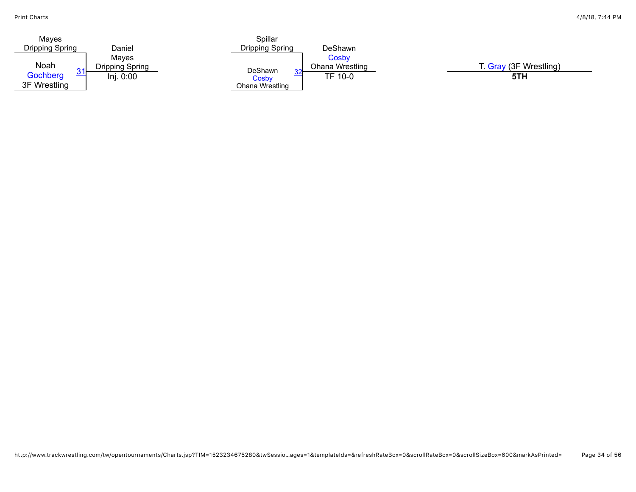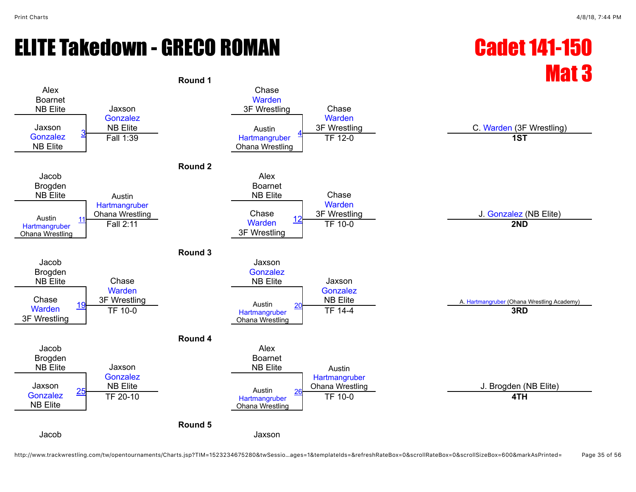# ELITE Takedown - GRECO ROMAN CADE Cadet 141-150



http://www.trackwrestling.com/tw/opentournaments/Charts.jsp?TIM=1523234675280&twSessio…ages=1&templateIds=&refreshRateBox=0&scrollRateBox=0&scrollSizeBox=600&markAsPrinted= Page 35 of 56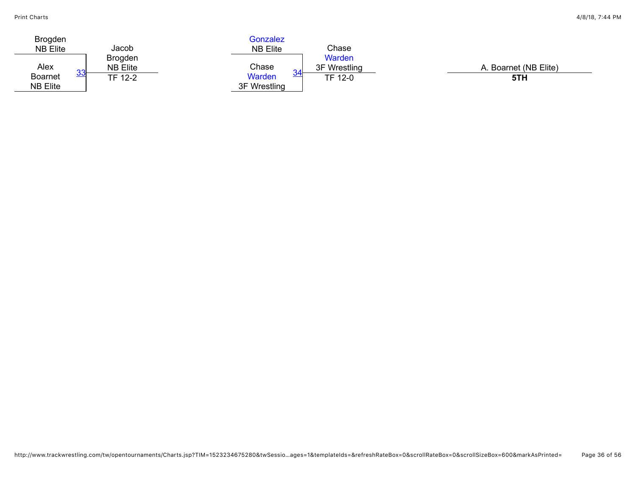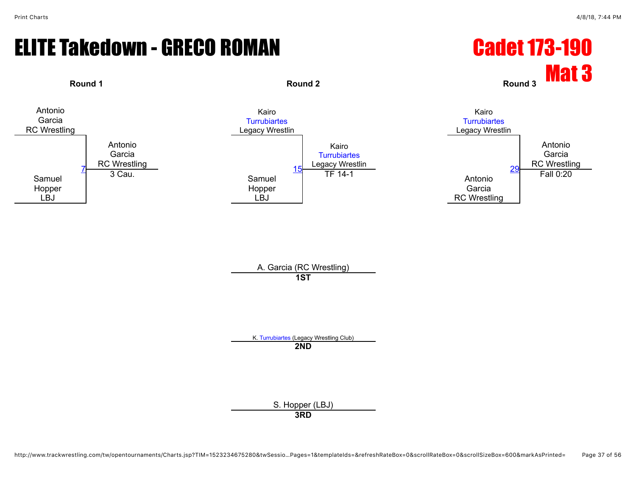## ELITE Takedown - GRECO ROMAN Cadet 173-190



A. Garcia (RC Wrestling) **1ST**

K. [Turrubiartes](javascript:viewProfile(177223132)) (Legacy Wrestling Club) **2ND**

> S. Hopper (LBJ) **3RD**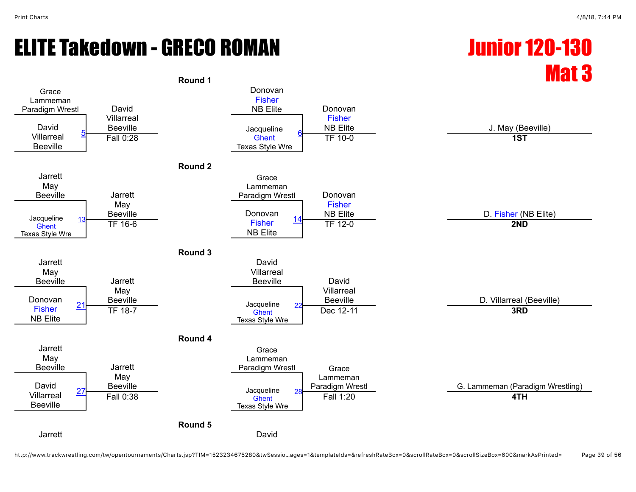# ELITE Takedown - GRECO ROMAN Junior 120-130



http://www.trackwrestling.com/tw/opentournaments/Charts.jsp?TIM=1523234675280&twSessio…ages=1&templateIds=&refreshRateBox=0&scrollRateBox=0&scrollSizeBox=600&markAsPrinted= Page 39 of 56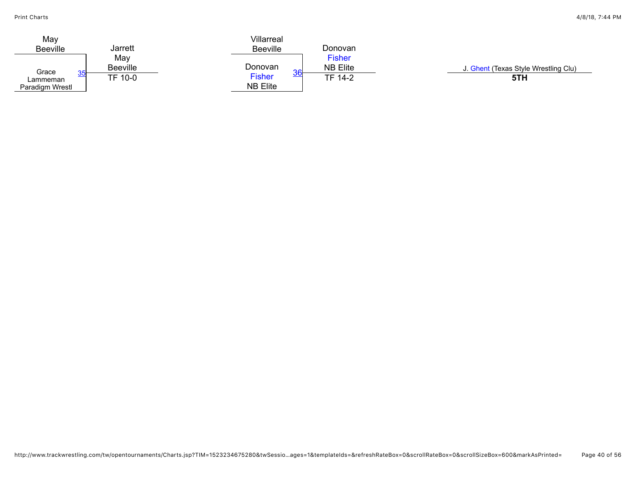| May                        | Villarreal          |                 |                                      |
|----------------------------|---------------------|-----------------|--------------------------------------|
| <b>Beeville</b><br>Jarrett | <b>Beeville</b>     | Donovan         |                                      |
| May                        |                     | <b>Fisher</b>   |                                      |
| <b>Beeville</b><br>Grace   | Donovan<br>$\sim$   | <b>NB Elite</b> | J. Ghent (Texas Style Wrestling Clu) |
| TF 10-0<br>Lammeman        | v۱<br><b>Fisher</b> | <b>TF 14-2</b>  | 5TH                                  |
| Paradigm Wrestl            | <b>NB Elite</b>     |                 |                                      |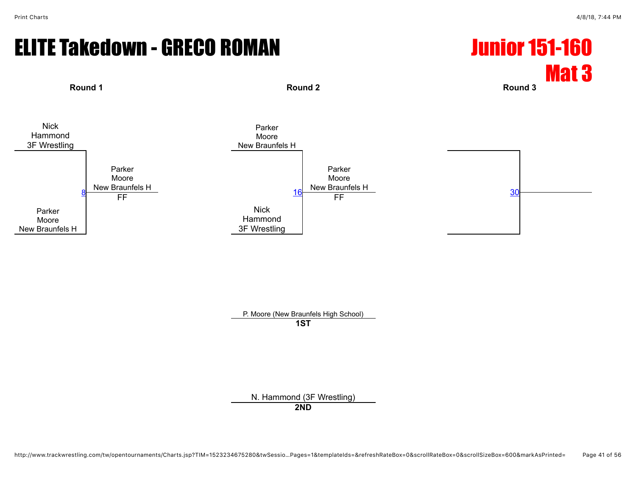## ELITE Takedown - GRECO ROMAN Junior 151-160



**Round 1 Round 2 Round 3**



P. Moore (New Braunfels High School) **1ST**

N. Hammond (3F Wrestling)

**2ND**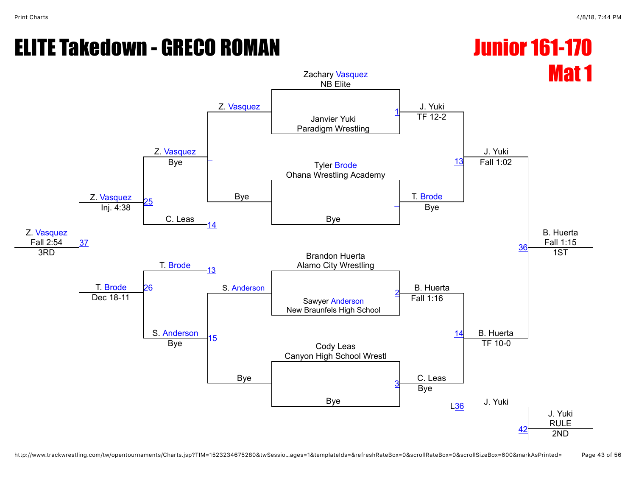## ELITE Takedown - GRECO ROMAN Junior 161-170

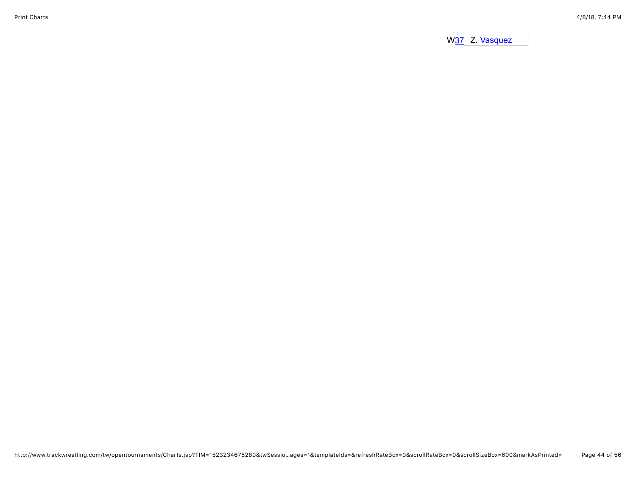W<sub>37</sub> Z. [Vasquez](javascript:viewProfile(345105132))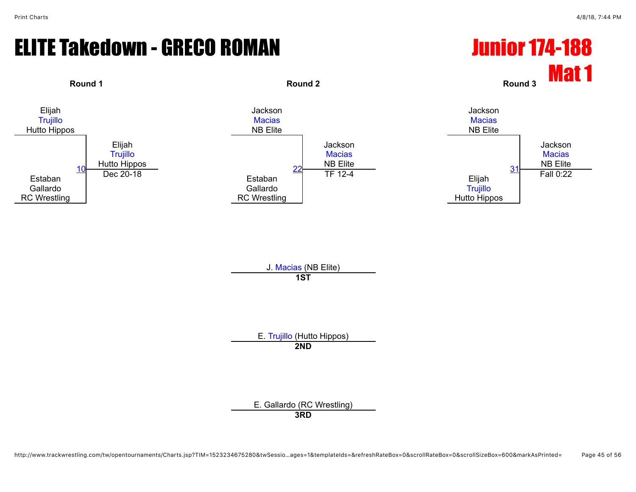# ELITE Takedown - GRECO ROMAN **Fig. 1988 Junior 174-188**



J. [Macias](javascript:viewProfile(1815422009)) (NB Elite) **1ST**

E. [Trujillo](javascript:viewProfile(20998094)) (Hutto Hippos) **2ND**

E. Gallardo (RC Wrestling) **3RD**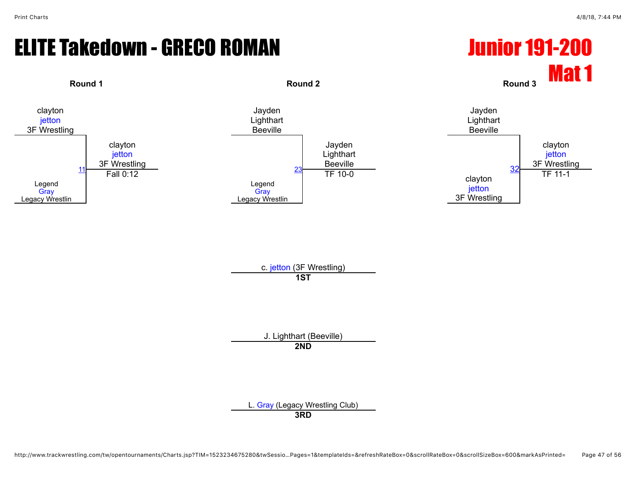# ELITE Takedown - GRECO ROMAN Junior 191-200



L. [Gray](javascript:viewProfile(616314132)) (Legacy Wrestling Club) **3RD**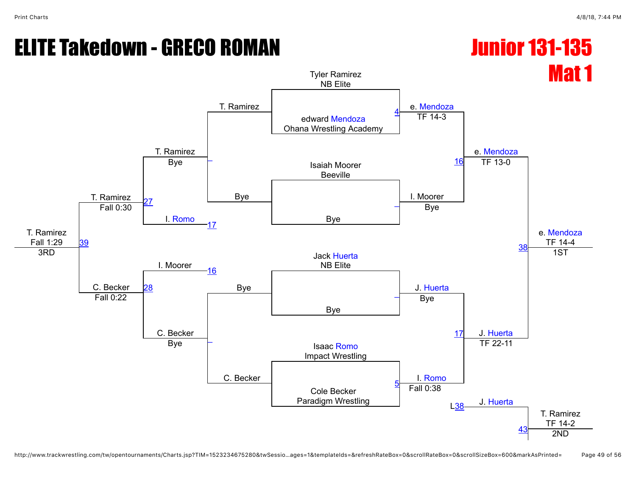# ELITE Takedown - GRECO ROMAN Junior 131-135

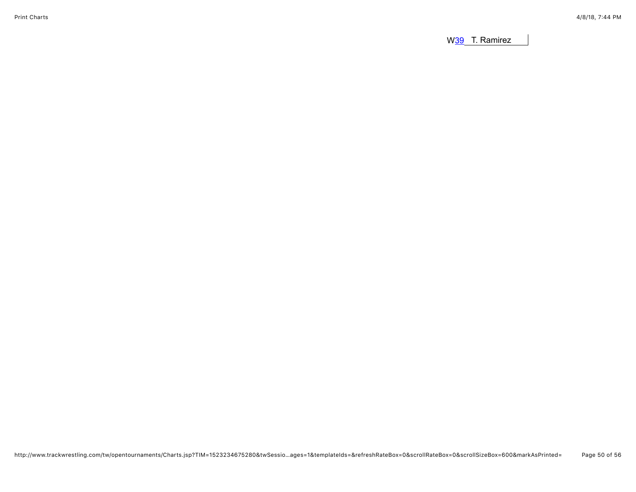W<sub>39</sub> T. Ramirez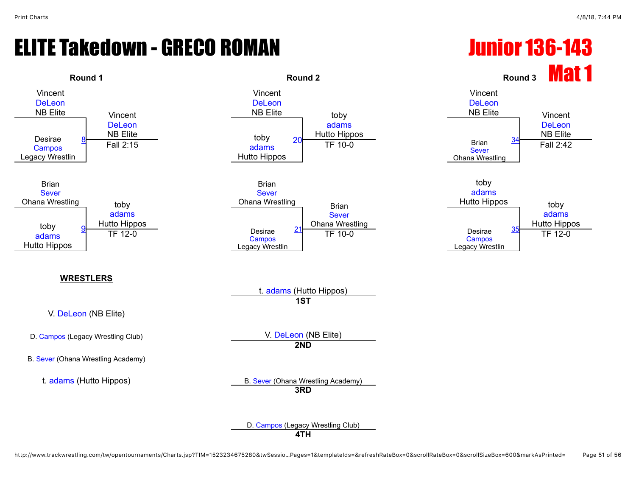# ELITE Takedown - GRECO ROMAN Junior 136-143

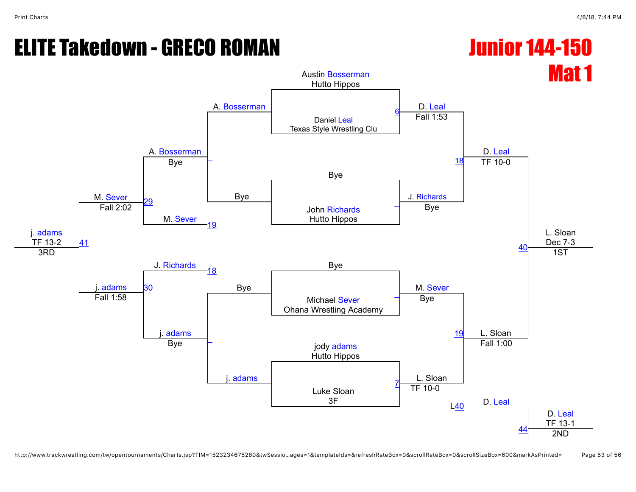# ELITE Takedown - GRECO ROMAN Junior 144-150



http://www.trackwrestling.com/tw/opentournaments/Charts.jsp?TIM=1523234675280&twSessio…ages=1&templateIds=&refreshRateBox=0&scrollRateBox=0&scrollSizeBox=600&markAsPrinted= Page 53 of 56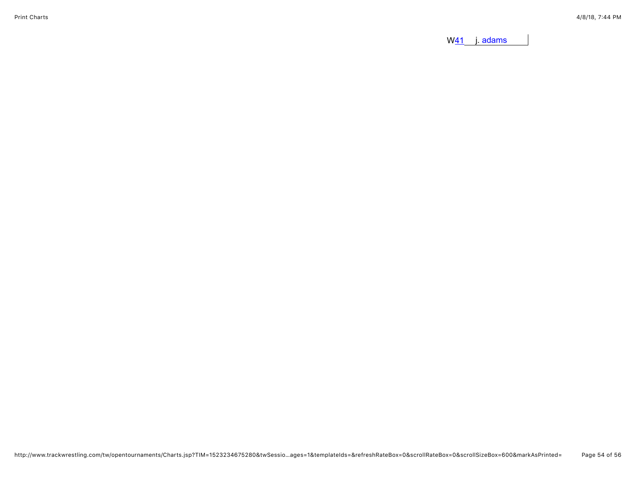W<sub>41</sub> j. [adams](javascript:viewProfile(935209096))